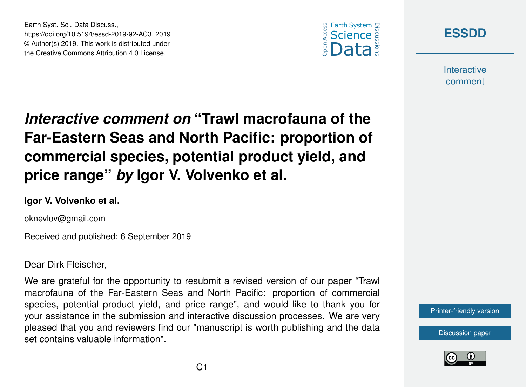



**Interactive** comment

## *Interactive comment on* **"Trawl macrofauna of the Far-Eastern Seas and North Pacific: proportion of commercial species, potential product yield, and price range"** *by* **Igor V. Volvenko et al.**

## **Igor V. Volvenko et al.**

Earth Syst. Sci. Data Discuss.,

https://doi.org/10.5194/essd-2019-92-AC3, 2019 © Author(s) 2019. This work is distributed under the Creative Commons Attribution 4.0 License.

oknevlov@gmail.com

Received and published: 6 September 2019

Dear Dirk Fleischer,

We are grateful for the opportunity to resubmit a revised version of our paper "Trawl macrofauna of the Far-Eastern Seas and North Pacific: proportion of commercial species, potential product yield, and price range", and would like to thank you for your assistance in the submission and interactive discussion processes. We are very pleased that you and reviewers find our "manuscript is worth publishing and the data set contains valuable information".



[Discussion paper](https://www.earth-syst-sci-data-discuss.net/essd-2019-92)

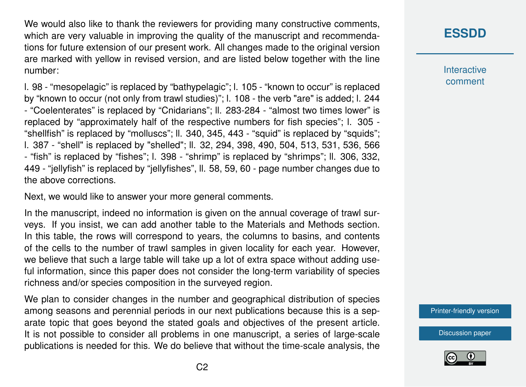We would also like to thank the reviewers for providing many constructive comments, which are very valuable in improving the quality of the manuscript and recommendations for future extension of our present work. All changes made to the original version are marked with yellow in revised version, and are listed below together with the line number:

l. 98 - "mesopelagic" is replaced by "bathypelagic"; l. 105 - "known to occur" is replaced by "known to occur (not only from trawl studies)"; l. 108 - the verb "are" is added; l. 244 - "Coelenterates" is replaced by "Cnidarians"; ll. 283-284 - "almost two times lower" is replaced by "approximately half of the respective numbers for fish species"; l. 305 - "shellfish" is replaced by "molluscs"; ll. 340, 345, 443 - "squid" is replaced by "squids"; l. 387 - "shell" is replaced by "shelled"; ll. 32, 294, 398, 490, 504, 513, 531, 536, 566 - "fish" is replaced by "fishes"; l. 398 - "shrimp" is replaced by "shrimps"; ll. 306, 332, 449 - "jellyfish" is replaced by "jellyfishes", ll. 58, 59, 60 - page number changes due to the above corrections.

Next, we would like to answer your more general comments.

In the manuscript, indeed no information is given on the annual coverage of trawl surveys. If you insist, we can add another table to the Materials and Methods section. In this table, the rows will correspond to years, the columns to basins, and contents of the cells to the number of trawl samples in given locality for each year. However, we believe that such a large table will take up a lot of extra space without adding useful information, since this paper does not consider the long-term variability of species richness and/or species composition in the surveyed region.

We plan to consider changes in the number and geographical distribution of species among seasons and perennial periods in our next publications because this is a separate topic that goes beyond the stated goals and objectives of the present article. It is not possible to consider all problems in one manuscript, a series of large-scale publications is needed for this. We do believe that without the time-scale analysis, the

## **[ESSDD](https://www.earth-syst-sci-data-discuss.net/)**

**Interactive** comment

[Printer-friendly version](https://www.earth-syst-sci-data-discuss.net/essd-2019-92/essd-2019-92-AC3-print.pdf)

[Discussion paper](https://www.earth-syst-sci-data-discuss.net/essd-2019-92)